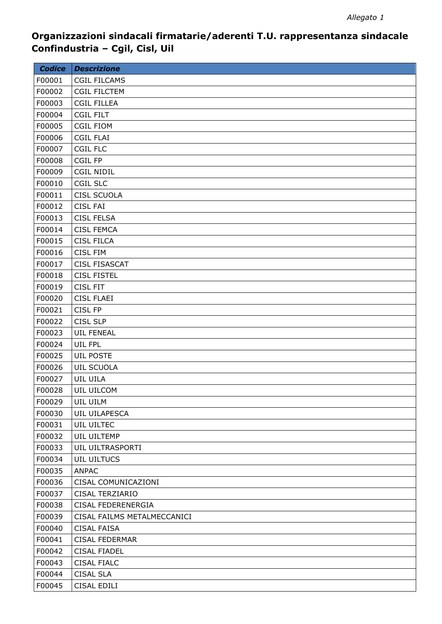| <b>Codice</b> | <b>Descrizione</b>          |
|---------------|-----------------------------|
| F00001        | <b>CGIL FILCAMS</b>         |
| F00002        | <b>CGIL FILCTEM</b>         |
| F00003        | <b>CGIL FILLEA</b>          |
| F00004        | <b>CGIL FILT</b>            |
| F00005        | <b>CGIL FIOM</b>            |
| F00006        | <b>CGIL FLAI</b>            |
| F00007        | CGIL FLC                    |
| F00008        | <b>CGIL FP</b>              |
| F00009        | <b>CGIL NIDIL</b>           |
| F00010        | <b>CGIL SLC</b>             |
| F00011        | <b>CISL SCUOLA</b>          |
| F00012        | <b>CISL FAI</b>             |
| F00013        | <b>CISL FELSA</b>           |
| F00014        | <b>CISL FEMCA</b>           |
| F00015        | <b>CISL FILCA</b>           |
| F00016        | <b>CISL FIM</b>             |
| F00017        | <b>CISL FISASCAT</b>        |
| F00018        | <b>CISL FISTEL</b>          |
| F00019        | <b>CISL FIT</b>             |
| F00020        | <b>CISL FLAEI</b>           |
| F00021        | <b>CISL FP</b>              |
| F00022        | <b>CISL SLP</b>             |
| F00023        | <b>UIL FENEAL</b>           |
| F00024        | UIL FPL                     |
| F00025        | <b>UIL POSTE</b>            |
| F00026        | <b>UIL SCUOLA</b>           |
| F00027        | UIL UILA                    |
| F00028        | UIL UILCOM                  |
| F00029        | UIL UILM                    |
| F00030        | UIL UILAPESCA               |
| F00031        | UIL UILTEC                  |
| F00032        | UIL UILTEMP                 |
| F00033        | UIL UILTRASPORTI            |
| F00034        | <b>UIL UILTUCS</b>          |
| F00035        | <b>ANPAC</b>                |
| F00036        | CISAL COMUNICAZIONI         |
| F00037        | CISAL TERZIARIO             |
| F00038        | CISAL FEDERENERGIA          |
| F00039        | CISAL FAILMS METALMECCANICI |
| F00040        | <b>CISAL FAISA</b>          |
| F00041        | <b>CISAL FEDERMAR</b>       |
| F00042        | <b>CISAL FIADEL</b>         |
| F00043        | <b>CISAL FIALC</b>          |
| F00044        | <b>CISAL SLA</b>            |
| F00045        | CISAL EDILI                 |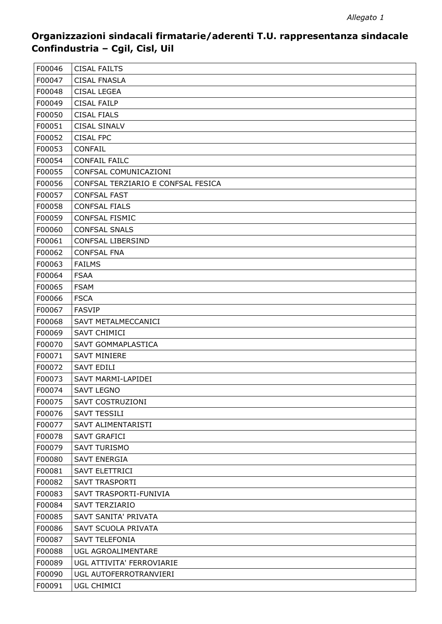| F00046 | <b>CISAL FAILTS</b>                |
|--------|------------------------------------|
| F00047 | <b>CISAL FNASLA</b>                |
| F00048 | <b>CISAL LEGEA</b>                 |
| F00049 | <b>CISAL FAILP</b>                 |
| F00050 | <b>CISAL FIALS</b>                 |
| F00051 | <b>CISAL SINALV</b>                |
| F00052 | <b>CISAL FPC</b>                   |
| F00053 | <b>CONFAIL</b>                     |
| F00054 | <b>CONFAIL FAILC</b>               |
| F00055 | CONFSAL COMUNICAZIONI              |
| F00056 | CONFSAL TERZIARIO E CONFSAL FESICA |
| F00057 | <b>CONFSAL FAST</b>                |
| F00058 | <b>CONFSAL FIALS</b>               |
| F00059 | <b>CONFSAL FISMIC</b>              |
| F00060 | <b>CONFSAL SNALS</b>               |
| F00061 | <b>CONFSAL LIBERSIND</b>           |
| F00062 | <b>CONFSAL FNA</b>                 |
| F00063 | <b>FAILMS</b>                      |
| F00064 | <b>FSAA</b>                        |
| F00065 | <b>FSAM</b>                        |
| F00066 | <b>FSCA</b>                        |
| F00067 | <b>FASVIP</b>                      |
| F00068 | SAVT METALMECCANICI                |
| F00069 | <b>SAVT CHIMICI</b>                |
| F00070 | SAVT GOMMAPLASTICA                 |
| F00071 | <b>SAVT MINIERE</b>                |
| F00072 | <b>SAVT EDILI</b>                  |
| F00073 | SAVT MARMI-LAPIDEI                 |
| F00074 | <b>SAVT LEGNO</b>                  |
| F00075 | SAVT COSTRUZIONI                   |
| F00076 | <b>SAVT TESSILI</b>                |
| F00077 | SAVT ALIMENTARISTI                 |
| F00078 | <b>SAVT GRAFICI</b>                |
| F00079 | <b>SAVT TURISMO</b>                |
| F00080 | <b>SAVT ENERGIA</b>                |
| F00081 | <b>SAVT ELETTRICI</b>              |
| F00082 | <b>SAVT TRASPORTI</b>              |
| F00083 | SAVT TRASPORTI-FUNIVIA             |
| F00084 | <b>SAVT TERZIARIO</b>              |
| F00085 | SAVT SANITA' PRIVATA               |
| F00086 | SAVT SCUOLA PRIVATA                |
| F00087 | <b>SAVT TELEFONIA</b>              |
| F00088 | UGL AGROALIMENTARE                 |
| F00089 | UGL ATTIVITA' FERROVIARIE          |
| F00090 | UGL AUTOFERROTRANVIERI             |
| F00091 | UGL CHIMICI                        |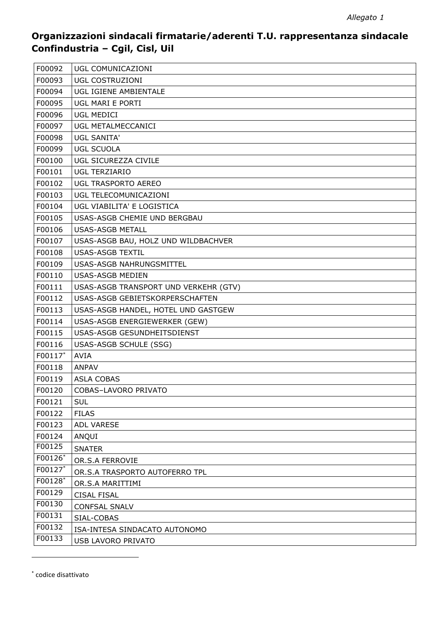| F00092  | UGL COMUNICAZIONI                     |
|---------|---------------------------------------|
| F00093  | UGL COSTRUZIONI                       |
| F00094  | UGL IGIENE AMBIENTALE                 |
| F00095  | UGL MARI E PORTI                      |
| F00096  | <b>UGL MEDICI</b>                     |
| F00097  | UGL METALMECCANICI                    |
| F00098  | <b>UGL SANITA'</b>                    |
| F00099  | <b>UGL SCUOLA</b>                     |
| F00100  | UGL SICUREZZA CIVILE                  |
| F00101  | <b>UGL TERZIARIO</b>                  |
| F00102  | UGL TRASPORTO AEREO                   |
| F00103  | UGL TELECOMUNICAZIONI                 |
| F00104  | UGL VIABILITA' E LOGISTICA            |
| F00105  | USAS-ASGB CHEMIE UND BERGBAU          |
| F00106  | <b>USAS-ASGB METALL</b>               |
| F00107  | USAS-ASGB BAU, HOLZ UND WILDBACHVER   |
| F00108  | <b>USAS-ASGB TEXTIL</b>               |
| F00109  | USAS-ASGB NAHRUNGSMITTEL              |
| F00110  | USAS-ASGB MEDIEN                      |
| F00111  | USAS-ASGB TRANSPORT UND VERKEHR (GTV) |
| F00112  | USAS-ASGB GEBIETSKORPERSCHAFTEN       |
| F00113  | USAS-ASGB HANDEL, HOTEL UND GASTGEW   |
| F00114  | USAS-ASGB ENERGIEWERKER (GEW)         |
| F00115  | USAS-ASGB GESUNDHEITSDIENST           |
| F00116  | USAS-ASGB SCHULE (SSG)                |
| F00117* | <b>AVIA</b>                           |
| F00118  | <b>ANPAV</b>                          |
| F00119  | <b>ASLA COBAS</b>                     |
| F00120  | COBAS-LAVORO PRIVATO                  |
| F00121  | <b>SUL</b>                            |
| F00122  | <b>FILAS</b>                          |
| F00123  | ADL VARESE                            |
| F00124  | ANQUI                                 |
| F00125  | <b>SNATER</b>                         |
| F00126* | OR.S.A FERROVIE                       |
| F00127* | OR.S.A TRASPORTO AUTOFERRO TPL        |
| F00128* | OR.S.A MARITTIMI                      |
| F00129  | <b>CISAL FISAL</b>                    |
| F00130  | <b>CONFSAL SNALV</b>                  |
| F00131  | SIAL-COBAS                            |
| F00132  | ISA-INTESA SINDACATO AUTONOMO         |
| F00133  | USB LAVORO PRIVATO                    |

\* codice disattivato